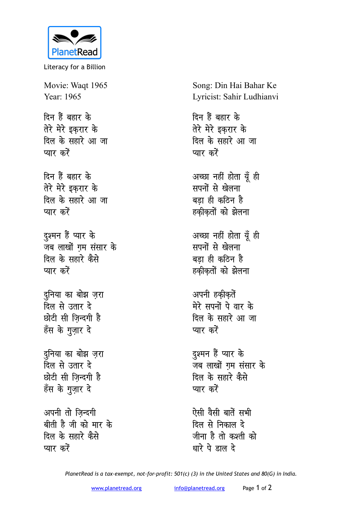

Literacy for a Billion

Movie: Waqt 1965 Year: 1965

दिन हैं बहार के तेरे मेरे इकरार के दिल के सहारे आ जा प्यार करें

दिन हैं बहार के तेरे मेरे इकरार के दिल के सहारे आ जा प्यार करें

दुश्मन हैं प्यार के जब लाखों गम संसार के दिल के सहारे कैसे प्यार करें

दुनिया का बोझ ज़रा <u>दिल से उतार दे</u> छोटी सी जिन्दगी है हँस के गुज़ार दे

दुनिया का बोझ ज़रा दिल से उतार दे छोटी सी जिन्दगी है हँस के गुज़ार दे

अपनी तो जिन्दगी बीती है जी को मार के दिल के सहारे कैसे प्यार करें

Song: Din Hai Bahar Ke Lyricist: Sahir Ludhianvi

दिन हैं बहार के तेरे मेरे इकरार के दिल के सहारे आ जा प्यार करें

अच्छा नहीं होता यूँ ही सपनों से खेलना बड़ा ही कठिन है हकीकतों को झेलना

अच्छा नहीं होता यूँ ही सपनों से खेलना बड़ा ही कठिन है हकीकतों को झेलना

अपनी हकीकतें मेरे सपनों पे वार के दिल के सहारे आ जा प्यार करें

दुश्मन हैं प्यार के जब लाखों गम संसार के दिल के सहारे कैसे प्यार करें

ऐसी वैसी बातें सभी दिल से निकाल दे जीना है तो कश्ती को धारे पे डाल दे

PlanetRead is a tax-exempt, not-for-profit: 501(c) (3) in the United States and 80(G) in India.